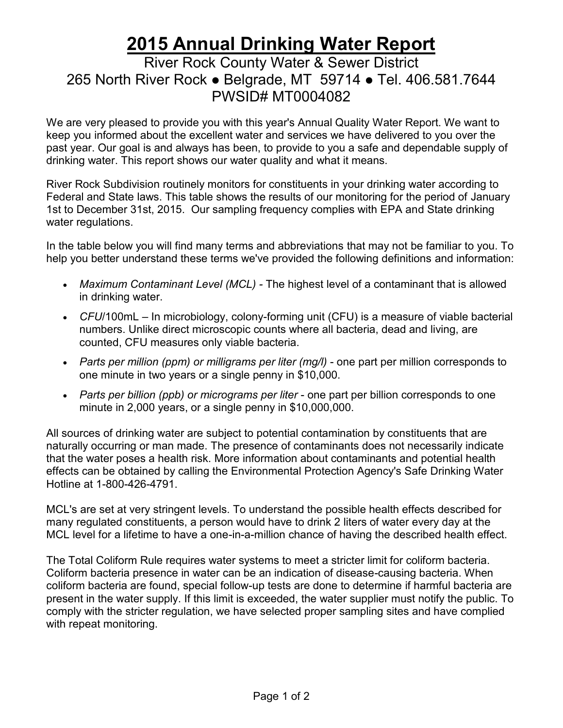## **2015 Annual Drinking Water Report**

## River Rock County Water & Sewer District 265 North River Rock • Belgrade, MT 59714 • Tel. 406.581.7644 PWSID# MT0004082

We are very pleased to provide you with this year's Annual Quality Water Report. We want to keep you informed about the excellent water and services we have delivered to you over the past year. Our goal is and always has been, to provide to you a safe and dependable supply of drinking water. This report shows our water quality and what it means.

River Rock Subdivision routinely monitors for constituents in your drinking water according to Federal and State laws. This table shows the results of our monitoring for the period of January 1st to December 31st, 2015. Our sampling frequency complies with EPA and State drinking water regulations.

In the table below you will find many terms and abbreviations that may not be familiar to you. To help you better understand these terms we've provided the following definitions and information:

- *Maximum Contaminant Level (MCL) -* The highest level of a contaminant that is allowed in drinking water.
- *CFU*/100mL In microbiology, colony-forming unit (CFU) is a measure of viable bacterial numbers. Unlike direct microscopic counts where all bacteria, dead and living, are counted, CFU measures only viable bacteria.
- *Parts per million (ppm) or milligrams per liter (mg/l)* one part per million corresponds to one minute in two years or a single penny in \$10,000.
- *Parts per billion (ppb) or micrograms per liter* one part per billion corresponds to one minute in 2,000 years, or a single penny in \$10,000,000.

All sources of drinking water are subject to potential contamination by constituents that are naturally occurring or man made. The presence of contaminants does not necessarily indicate that the water poses a health risk. More information about contaminants and potential health effects can be obtained by calling the Environmental Protection Agency's Safe Drinking Water Hotline at 1-800-426-4791.

MCL's are set at very stringent levels. To understand the possible health effects described for many regulated constituents, a person would have to drink 2 liters of water every day at the MCL level for a lifetime to have a one-in-a-million chance of having the described health effect.

The Total Coliform Rule requires water systems to meet a stricter limit for coliform bacteria. Coliform bacteria presence in water can be an indication of disease-causing bacteria. When coliform bacteria are found, special follow-up tests are done to determine if harmful bacteria are present in the water supply. If this limit is exceeded, the water supplier must notify the public. To comply with the stricter regulation, we have selected proper sampling sites and have complied with repeat monitoring.